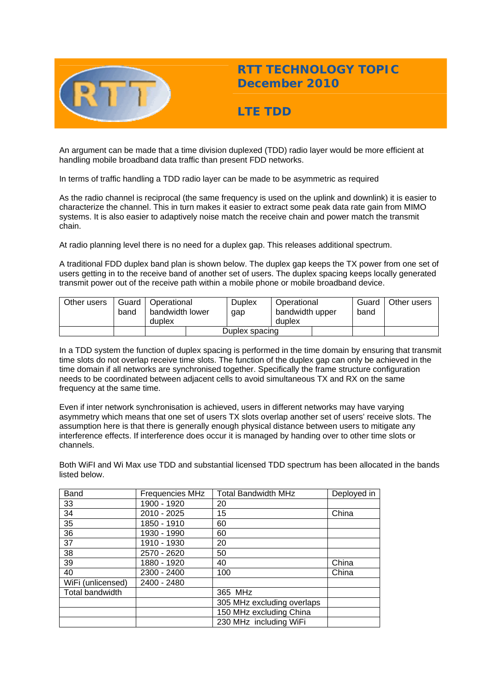

**RTT TECHNOLOGY TOPIC December 2010** 

**LTE TDD** 

An argument can be made that a time division duplexed (TDD) radio layer would be more efficient at handling mobile broadband data traffic than present FDD networks.

In terms of traffic handling a TDD radio layer can be made to be asymmetric as required

As the radio channel is reciprocal (the same frequency is used on the uplink and downlink) it is easier to characterize the channel. This in turn makes it easier to extract some peak data rate gain from MIMO systems. It is also easier to adaptively noise match the receive chain and power match the transmit chain.

At radio planning level there is no need for a duplex gap. This releases additional spectrum.

A traditional FDD duplex band plan is shown below. The duplex gap keeps the TX power from one set of users getting in to the receive band of another set of users. The duplex spacing keeps locally generated transmit power out of the receive path within a mobile phone or mobile broadband device.

| Other users | Guard I | Operational               | <b>Duplex</b>  | Operational<br>bandwidth upper |  | Guard | I Other users |
|-------------|---------|---------------------------|----------------|--------------------------------|--|-------|---------------|
|             | band    | bandwidth lower<br>duplex | gap            | duplex                         |  | band  |               |
|             |         |                           | Duplex spacing |                                |  |       |               |

In a TDD system the function of duplex spacing is performed in the time domain by ensuring that transmit time slots do not overlap receive time slots. The function of the duplex gap can only be achieved in the time domain if all networks are synchronised together. Specifically the frame structure configuration needs to be coordinated between adjacent cells to avoid simultaneous TX and RX on the same frequency at the same time.

Even if inter network synchronisation is achieved, users in different networks may have varying asymmetry which means that one set of users TX slots overlap another set of users' receive slots. The assumption here is that there is generally enough physical distance between users to mitigate any interference effects. If interference does occur it is managed by handing over to other time slots or channels.

Both WiFI and Wi Max use TDD and substantial licensed TDD spectrum has been allocated in the bands listed below.

| Band              | Frequencies MHz | <b>Total Bandwidth MHz</b> | Deployed in |
|-------------------|-----------------|----------------------------|-------------|
| 33                | 1900 - 1920     | 20                         |             |
| 34                | 2010 - 2025     | 15                         | China       |
| $\overline{35}$   | 1850 - 1910     | 60                         |             |
| 36                | 1930 - 1990     | 60                         |             |
| $\overline{37}$   | 1910 - 1930     | 20                         |             |
| 38                | 2570 - 2620     | 50                         |             |
| 39                | 1880 - 1920     | 40                         | China       |
| 40                | 2300 - 2400     | 100                        | China       |
| WiFi (unlicensed) | 2400 - 2480     |                            |             |
| Total bandwidth   |                 | 365 MHz                    |             |
|                   |                 | 305 MHz excluding overlaps |             |
|                   |                 | 150 MHz excluding China    |             |
|                   |                 | 230 MHz including WiFi     |             |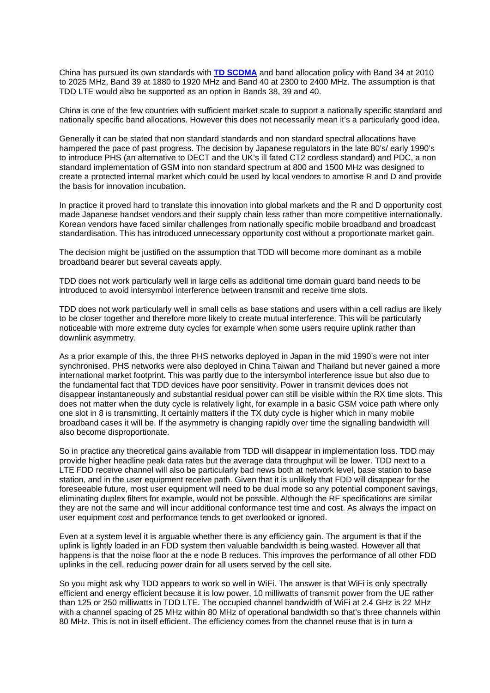China has pursued its own standards with **TD SCDMA** and band allocation policy with Band 34 at 2010 to 2025 MHz, Band 39 at 1880 to 1920 MHz and Band 40 at 2300 to 2400 MHz. The assumption is that TDD LTE would also be supported as an option in Bands 38, 39 and 40.

China is one of the few countries with sufficient market scale to support a nationally specific standard and nationally specific band allocations. However this does not necessarily mean it's a particularly good idea.

Generally it can be stated that non standard standards and non standard spectral allocations have hampered the pace of past progress. The decision by Japanese regulators in the late 80's/ early 1990's to introduce PHS (an alternative to DECT and the UK's ill fated CT2 cordless standard) and PDC, a non standard implementation of GSM into non standard spectrum at 800 and 1500 MHz was designed to create a protected internal market which could be used by local vendors to amortise R and D and provide the basis for innovation incubation.

In practice it proved hard to translate this innovation into global markets and the R and D opportunity cost made Japanese handset vendors and their supply chain less rather than more competitive internationally. Korean vendors have faced similar challenges from nationally specific mobile broadband and broadcast standardisation. This has introduced unnecessary opportunity cost without a proportionate market gain.

The decision might be justified on the assumption that TDD will become more dominant as a mobile broadband bearer but several caveats apply.

TDD does not work particularly well in large cells as additional time domain guard band needs to be introduced to avoid intersymbol interference between transmit and receive time slots.

TDD does not work particularly well in small cells as base stations and users within a cell radius are likely to be closer together and therefore more likely to create mutual interference. This will be particularly noticeable with more extreme duty cycles for example when some users require uplink rather than downlink asymmetry.

As a prior example of this, the three PHS networks deployed in Japan in the mid 1990's were not inter synchronised. PHS networks were also deployed in China Taiwan and Thailand but never gained a more international market footprint. This was partly due to the intersymbol interference issue but also due to the fundamental fact that TDD devices have poor sensitivity. Power in transmit devices does not disappear instantaneously and substantial residual power can still be visible within the RX time slots. This does not matter when the duty cycle is relatively light, for example in a basic GSM voice path where only one slot in 8 is transmitting. It certainly matters if the TX duty cycle is higher which in many mobile broadband cases it will be. If the asymmetry is changing rapidly over time the signalling bandwidth will also become disproportionate.

So in practice any theoretical gains available from TDD will disappear in implementation loss. TDD may provide higher headline peak data rates but the average data throughput will be lower. TDD next to a LTE FDD receive channel will also be particularly bad news both at network level, base station to base station, and in the user equipment receive path. Given that it is unlikely that FDD will disappear for the foreseeable future, most user equipment will need to be dual mode so any potential component savings, eliminating duplex filters for example, would not be possible. Although the RF specifications are similar they are not the same and will incur additional conformance test time and cost. As always the impact on user equipment cost and performance tends to get overlooked or ignored.

Even at a system level it is arguable whether there is any efficiency gain. The argument is that if the uplink is lightly loaded in an FDD system then valuable bandwidth is being wasted. However all that happens is that the noise floor at the e node B reduces. This improves the performance of all other FDD uplinks in the cell, reducing power drain for all users served by the cell site.

So you might ask why TDD appears to work so well in WiFi. The answer is that WiFi is only spectrally efficient and energy efficient because it is low power, 10 milliwatts of transmit power from the UE rather than 125 or 250 milliwatts in TDD LTE. The occupied channel bandwidth of WiFi at 2.4 GHz is 22 MHz with a channel spacing of 25 MHz within 80 MHz of operational bandwidth so that's three channels within 80 MHz. This is not in itself efficient. The efficiency comes from the channel reuse that is in turn a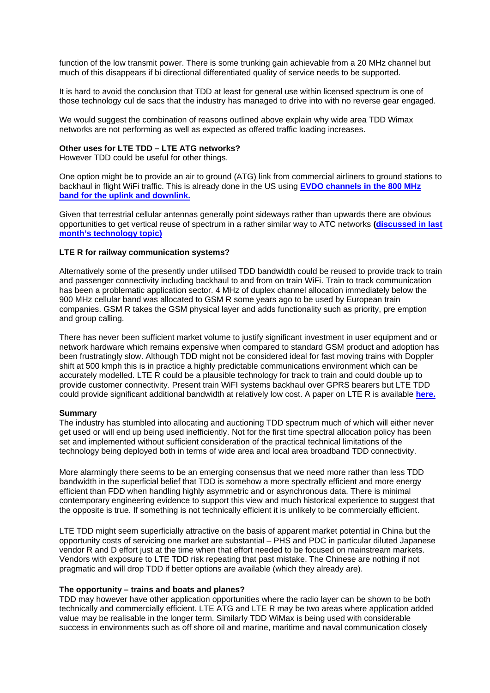function of the low transmit power. There is some trunking gain achievable from a 20 MHz channel but much of this disappears if bi directional differentiated quality of service needs to be supported.

It is hard to avoid the conclusion that TDD at least for general use within licensed spectrum is one of those technology cul de sacs that the industry has managed to drive into with no reverse gear engaged.

We would suggest the combination of reasons outlined above explain why wide area TDD Wimax networks are not performing as well as expected as offered traffic loading increases.

# **Other uses for LTE TDD – LTE ATG networks?**

However TDD could be useful for other things.

One option might be to provide an air to ground (ATG) link from commercial airliners to ground stations to backhaul in flight WiFi traffic. This is already done in the US using **[EVDO channels in the 800 MHz](http://www.aircell.com/)  [band for the uplink and downlink.](http://www.aircell.com/)** 

Given that terrestrial cellular antennas generally point sideways rather than upwards there are obvious opportunities to get vertical reuse of spectrum in a rather similar way to ATC networks **[\(discussed in last](http://www.rttonline.com/tt/TT2010_011.pdf)  [month's technology topic\)](http://www.rttonline.com/tt/TT2010_011.pdf)**

## **LTE R for railway communication systems?**

Alternatively some of the presently under utilised TDD bandwidth could be reused to provide track to train and passenger connectivity including backhaul to and from on train WiFi. Train to track communication has been a problematic application sector. 4 MHz of duplex channel allocation immediately below the 900 MHz cellular band was allocated to GSM R some years ago to be used by European train companies. GSM R takes the GSM physical layer and adds functionality such as priority, pre emption and group calling.

There has never been sufficient market volume to justify significant investment in user equipment and or network hardware which remains expensive when compared to standard GSM product and adoption has been frustratingly slow. Although TDD might not be considered ideal for fast moving trains with Doppler shift at 500 kmph this is in practice a highly predictable communications environment which can be accurately modelled. LTE R could be a plausible technology for track to train and could double up to provide customer connectivity. Present train WiFI systems backhaul over GPRS bearers but LTE TDD could provide significant additional bandwidth at relatively low cost. A paper on LTE R is available **[here.](http://www.cambridgewireless.co.uk/Presentation/Olivier%20Andre%20LTE_Cambridge%20091010%20%5BRead-Only%5D.pdf)**

### **Summary**

The industry has stumbled into allocating and auctioning TDD spectrum much of which will either never get used or will end up being used inefficiently. Not for the first time spectral allocation policy has been set and implemented without sufficient consideration of the practical technical limitations of the technology being deployed both in terms of wide area and local area broadband TDD connectivity.

More alarmingly there seems to be an emerging consensus that we need more rather than less TDD bandwidth in the superficial belief that TDD is somehow a more spectrally efficient and more energy efficient than FDD when handling highly asymmetric and or asynchronous data. There is minimal contemporary engineering evidence to support this view and much historical experience to suggest that the opposite is true. If something is not technically efficient it is unlikely to be commercially efficient.

LTE TDD might seem superficially attractive on the basis of apparent market potential in China but the opportunity costs of servicing one market are substantial – PHS and PDC in particular diluted Japanese vendor R and D effort just at the time when that effort needed to be focused on mainstream markets. Vendors with exposure to LTE TDD risk repeating that past mistake. The Chinese are nothing if not pragmatic and will drop TDD if better options are available (which they already are).

## **The opportunity – trains and boats and planes?**

TDD may however have other application opportunities where the radio layer can be shown to be both technically and commercially efficient. LTE ATG and LTE R may be two areas where application added value may be realisable in the longer term. Similarly TDD WiMax is being used with considerable success in environments such as off shore oil and marine, maritime and naval communication closely